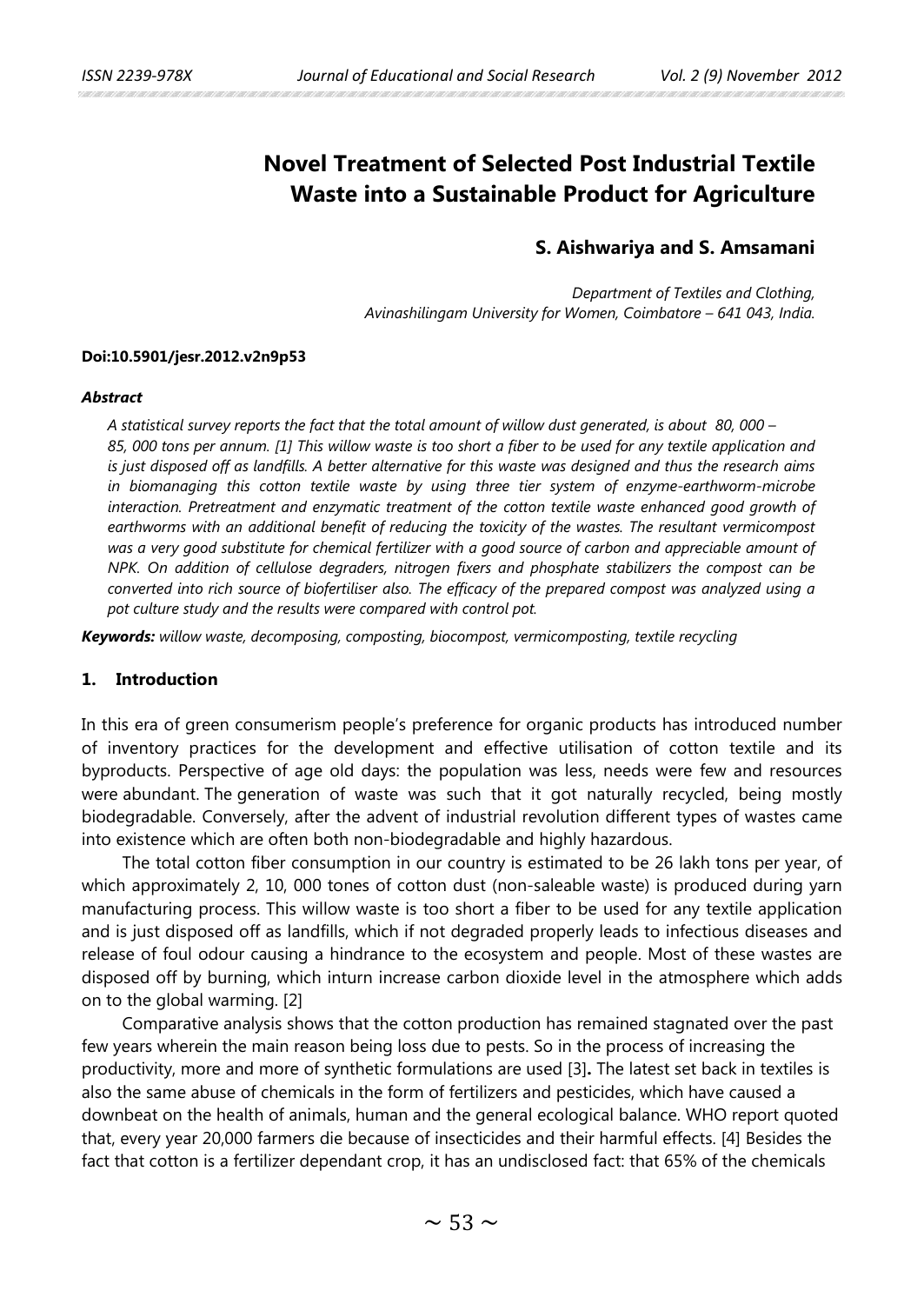# **Novel Treatment of Selected Post Industrial Textile Waste into a Sustainable Product for Agriculture**

# **S. Aishwariya and S. Amsamani**

*Department of Textiles and Clothing, Avinashilingam University for Women, Coimbatore – 641 043, India.*

#### **Doi:10.5901/jesr.2012.v2n9p53**

#### *Abstract*

*A statistical survey reports the fact that the total amount of willow dust generated, is about 80, 000 – 85, 000 tons per annum. [1] This willow waste is too short a fiber to be used for any textile application and is just disposed off as landfills. A better alternative for this waste was designed and thus the research aims in biomanaging this cotton textile waste by using three tier system of enzyme-earthworm-microbe interaction. Pretreatment and enzymatic treatment of the cotton textile waste enhanced good growth of earthworms with an additional benefit of reducing the toxicity of the wastes. The resultant vermicompost was a very good substitute for chemical fertilizer with a good source of carbon and appreciable amount of NPK. On addition of cellulose degraders, nitrogen fixers and phosphate stabilizers the compost can be converted into rich source of biofertiliser also. The efficacy of the prepared compost was analyzed using a pot culture study and the results were compared with control pot.* 

*Keywords: willow waste, decomposing, composting, biocompost, vermicomposting, textile recycling*

# **1. Introduction**

In this era of green consumerism people's preference for organic products has introduced number of inventory practices for the development and effective utilisation of cotton textile and its byproducts. Perspective of age old days: the population was less, needs were few and resources were abundant. The generation of waste was such that it got naturally recycled, being mostly biodegradable. Conversely, after the advent of industrial revolution different types of wastes came into existence which are often both non-biodegradable and highly hazardous.

The total cotton fiber consumption in our country is estimated to be 26 lakh tons per year, of which approximately 2, 10, 000 tones of cotton dust (non-saleable waste) is produced during yarn manufacturing process. This willow waste is too short a fiber to be used for any textile application and is just disposed off as landfills, which if not degraded properly leads to infectious diseases and release of foul odour causing a hindrance to the ecosystem and people. Most of these wastes are disposed off by burning, which inturn increase carbon dioxide level in the atmosphere which adds on to the global warming. [2]

Comparative analysis shows that the cotton production has remained stagnated over the past few years wherein the main reason being loss due to pests. So in the process of increasing the productivity, more and more of synthetic formulations are used [3]**.** The latest set back in textiles is also the same abuse of chemicals in the form of fertilizers and pesticides, which have caused a downbeat on the health of animals, human and the general ecological balance. WHO report quoted that, every year 20,000 farmers die because of insecticides and their harmful effects. [4] Besides the fact that cotton is a fertilizer dependant crop, it has an undisclosed fact: that 65% of the chemicals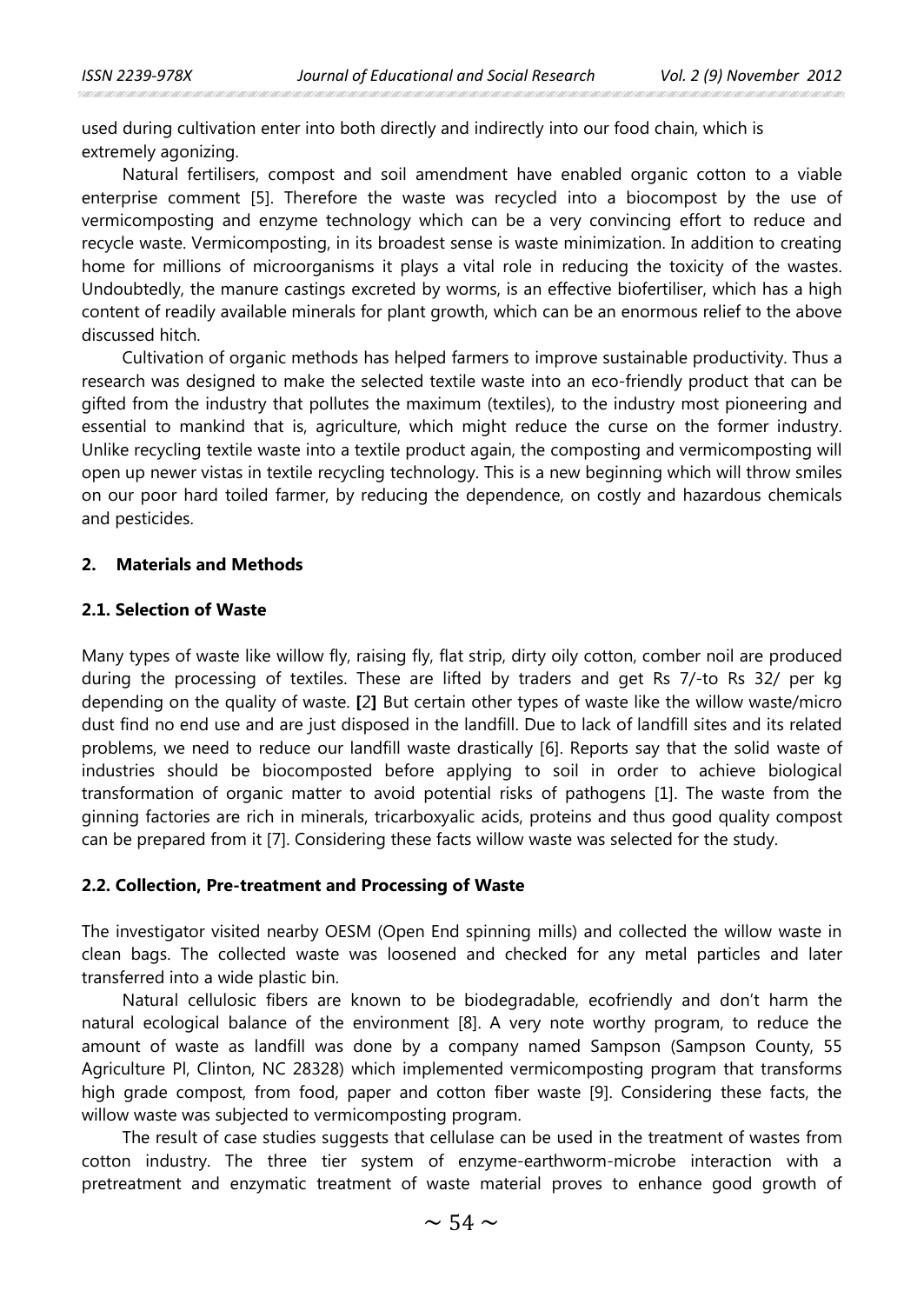used during cultivation enter into both directly and indirectly into our food chain, which is extremely agonizing.

Natural fertilisers, compost and soil amendment have enabled organic cotton to a viable enterprise comment [5]. Therefore the waste was recycled into a biocompost by the use of vermicomposting and enzyme technology which can be a very convincing effort to reduce and recycle waste. Vermicomposting, in its broadest sense is waste minimization. In addition to creating home for millions of microorganisms it plays a vital role in reducing the toxicity of the wastes. Undoubtedly, the manure castings excreted by worms, is an effective biofertiliser, which has a high content of readily available minerals for plant growth, which can be an enormous relief to the above discussed hitch.

Cultivation of organic methods has helped farmers to improve sustainable productivity. Thus a research was designed to make the selected textile waste into an eco-friendly product that can be gifted from the industry that pollutes the maximum (textiles), to the industry most pioneering and essential to mankind that is, agriculture, which might reduce the curse on the former industry. Unlike recycling textile waste into a textile product again, the composting and vermicomposting will open up newer vistas in textile recycling technology. This is a new beginning which will throw smiles on our poor hard toiled farmer, by reducing the dependence, on costly and hazardous chemicals and pesticides.

#### **2. Materials and Methods**

### **2.1. Selection of Waste**

Many types of waste like willow fly, raising fly, flat strip, dirty oily cotton, comber noil are produced during the processing of textiles. These are lifted by traders and get Rs 7/-to Rs 32/ per kg depending on the quality of waste. **[**2**]** But certain other types of waste like the willow waste/micro dust find no end use and are just disposed in the landfill. Due to lack of landfill sites and its related problems, we need to reduce our landfill waste drastically [6]. Reports say that the solid waste of industries should be biocomposted before applying to soil in order to achieve biological transformation of organic matter to avoid potential risks of pathogens [1]. The waste from the ginning factories are rich in minerals, tricarboxyalic acids, proteins and thus good quality compost can be prepared from it [7]. Considering these facts willow waste was selected for the study.

#### **2.2. Collection, Pre-treatment and Processing of Waste**

The investigator visited nearby OESM (Open End spinning mills) and collected the willow waste in clean bags. The collected waste was loosened and checked for any metal particles and later transferred into a wide plastic bin.

Natural cellulosic fibers are known to be biodegradable, ecofriendly and don't harm the natural ecological balance of the environment [8]. A very note worthy program, to reduce the amount of waste as landfill was done by a company named Sampson (Sampson County, 55 Agriculture Pl, Clinton, NC 28328) which implemented vermicomposting program that transforms high grade compost, from food, paper and cotton fiber waste [9]. Considering these facts, the willow waste was subjected to vermicomposting program.

The result of case studies suggests that cellulase can be used in the treatment of wastes from cotton industry. The three tier system of enzyme-earthworm-microbe interaction with a pretreatment and enzymatic treatment of waste material proves to enhance good growth of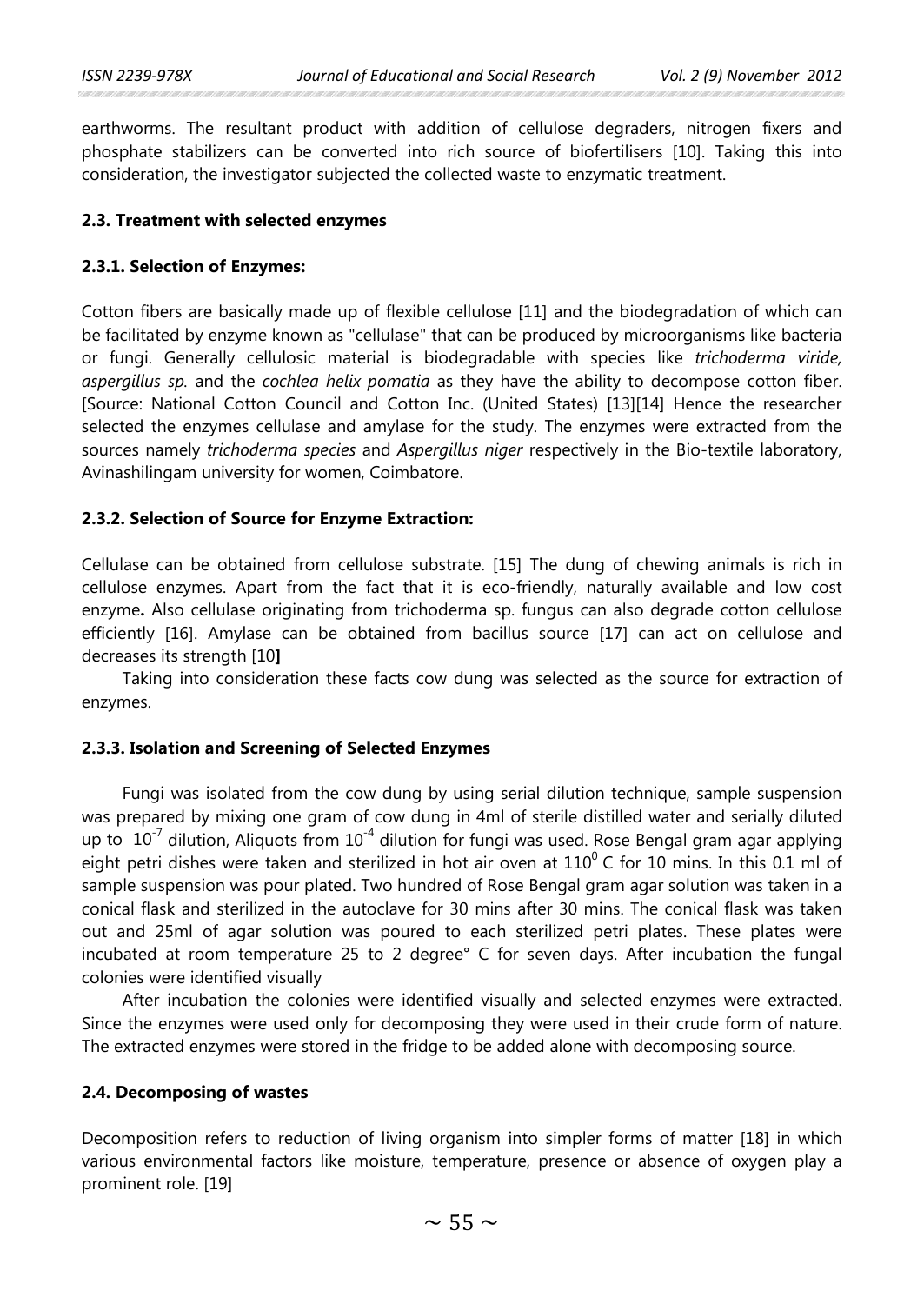earthworms. The resultant product with addition of cellulose degraders, nitrogen fixers and phosphate stabilizers can be converted into rich source of biofertilisers [10]. Taking this into consideration, the investigator subjected the collected waste to enzymatic treatment.

# **2.3. Treatment with selected enzymes**

# **2.3.1. Selection of Enzymes:**

Cotton fibers are basically made up of flexible cellulose [11] and the biodegradation of which can be facilitated by enzyme known as "cellulase" that can be produced by microorganisms like bacteria or fungi. Generally cellulosic material is biodegradable with species like *trichoderma viride, aspergillus sp.* and the *cochlea helix pomatia* as they have the ability to decompose cotton fiber. [Source: National Cotton Council and Cotton Inc. (United States) [13][14] Hence the researcher selected the enzymes cellulase and amylase for the study. The enzymes were extracted from the sources namely *trichoderma species* and *Aspergillus niger* respectively in the Bio-textile laboratory, Avinashilingam university for women, Coimbatore.

# **2.3.2. Selection of Source for Enzyme Extraction:**

Cellulase can be obtained from cellulose substrate. [15] The dung of chewing animals is rich in cellulose enzymes. Apart from the fact that it is eco-friendly, naturally available and low cost enzyme**.** Also cellulase originating from trichoderma sp. fungus can also degrade cotton cellulose efficiently [16]. Amylase can be obtained from bacillus source [17] can act on cellulose and decreases its strength [10**]** 

Taking into consideration these facts cow dung was selected as the source for extraction of enzymes.

# **2.3.3. Isolation and Screening of Selected Enzymes**

Fungi was isolated from the cow dung by using serial dilution technique, sample suspension was prepared by mixing one gram of cow dung in 4ml of sterile distilled water and serially diluted up to  $10^{-7}$  dilution, Aliquots from  $10^{-4}$  dilution for fungi was used. Rose Bengal gram agar applying eight petri dishes were taken and sterilized in hot air oven at  $110^{\circ}$  C for 10 mins. In this 0.1 ml of sample suspension was pour plated. Two hundred of Rose Bengal gram agar solution was taken in a conical flask and sterilized in the autoclave for 30 mins after 30 mins. The conical flask was taken out and 25ml of agar solution was poured to each sterilized petri plates. These plates were incubated at room temperature 25 to 2 degree° C for seven days. After incubation the fungal colonies were identified visually

After incubation the colonies were identified visually and selected enzymes were extracted. Since the enzymes were used only for decomposing they were used in their crude form of nature. The extracted enzymes were stored in the fridge to be added alone with decomposing source.

# **2.4. Decomposing of wastes**

Decomposition refers to reduction of living organism into simpler forms of matter [18] in which various environmental factors like moisture, temperature, presence or absence of oxygen play a prominent role. [19]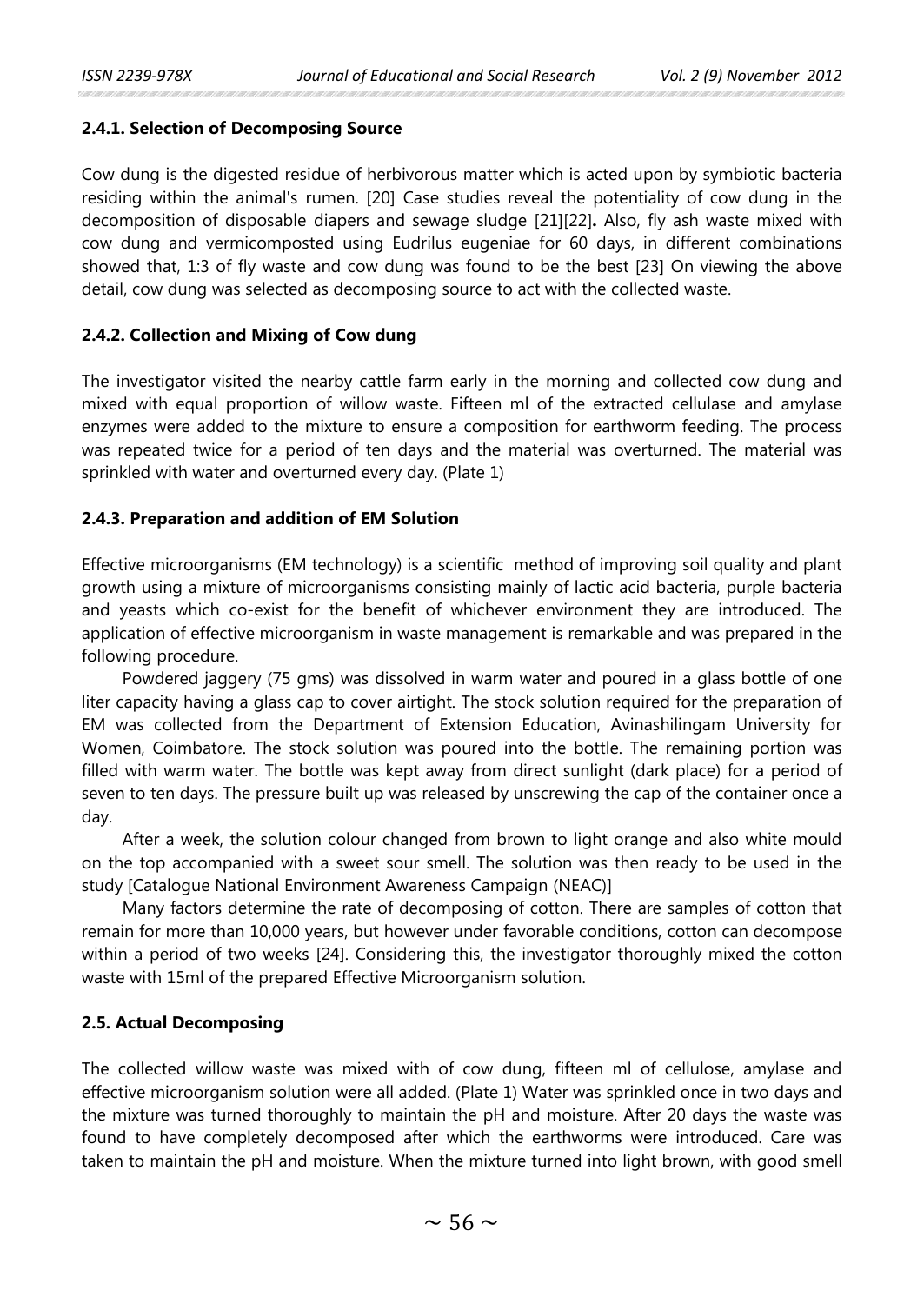# **2.4.1. Selection of Decomposing Source**

Cow dung is the digested residue of herbivorous matter which is acted upon by symbiotic bacteria residing within the animal's rumen. [20] Case studies reveal the potentiality of cow dung in the decomposition of disposable diapers and sewage sludge [21][22]**.** Also, fly ash waste mixed with cow dung and vermicomposted using Eudrilus eugeniae for 60 days, in different combinations showed that, 1:3 of fly waste and cow dung was found to be the best [23] On viewing the above detail, cow dung was selected as decomposing source to act with the collected waste.

# **2.4.2. Collection and Mixing of Cow dung**

The investigator visited the nearby cattle farm early in the morning and collected cow dung and mixed with equal proportion of willow waste. Fifteen ml of the extracted cellulase and amylase enzymes were added to the mixture to ensure a composition for earthworm feeding. The process was repeated twice for a period of ten days and the material was overturned. The material was sprinkled with water and overturned every day. (Plate 1)

# **2.4.3. Preparation and addition of EM Solution**

Effective microorganisms (EM technology) is a scientific method of improving soil quality and plant growth using a mixture of microorganisms consisting mainly of lactic acid bacteria, purple bacteria and yeasts which co-exist for the benefit of whichever environment they are introduced. The application of effective microorganism in waste management is remarkable and was prepared in the following procedure.

Powdered jaggery (75 gms) was dissolved in warm water and poured in a glass bottle of one liter capacity having a glass cap to cover airtight. The stock solution required for the preparation of EM was collected from the Department of Extension Education, Avinashilingam University for Women, Coimbatore. The stock solution was poured into the bottle. The remaining portion was filled with warm water. The bottle was kept away from direct sunlight (dark place) for a period of seven to ten days. The pressure built up was released by unscrewing the cap of the container once a day.

After a week, the solution colour changed from brown to light orange and also white mould on the top accompanied with a sweet sour smell. The solution was then ready to be used in the study [Catalogue National Environment Awareness Campaign (NEAC)]

Many factors determine the rate of decomposing of cotton. There are samples of cotton that remain for more than 10,000 years, but however under favorable conditions, cotton can decompose within a period of two weeks [24]. Considering this, the investigator thoroughly mixed the cotton waste with 15ml of the prepared Effective Microorganism solution.

# **2.5. Actual Decomposing**

The collected willow waste was mixed with of cow dung, fifteen ml of cellulose, amylase and effective microorganism solution were all added. (Plate 1) Water was sprinkled once in two days and the mixture was turned thoroughly to maintain the pH and moisture. After 20 days the waste was found to have completely decomposed after which the earthworms were introduced. Care was taken to maintain the pH and moisture. When the mixture turned into light brown, with good smell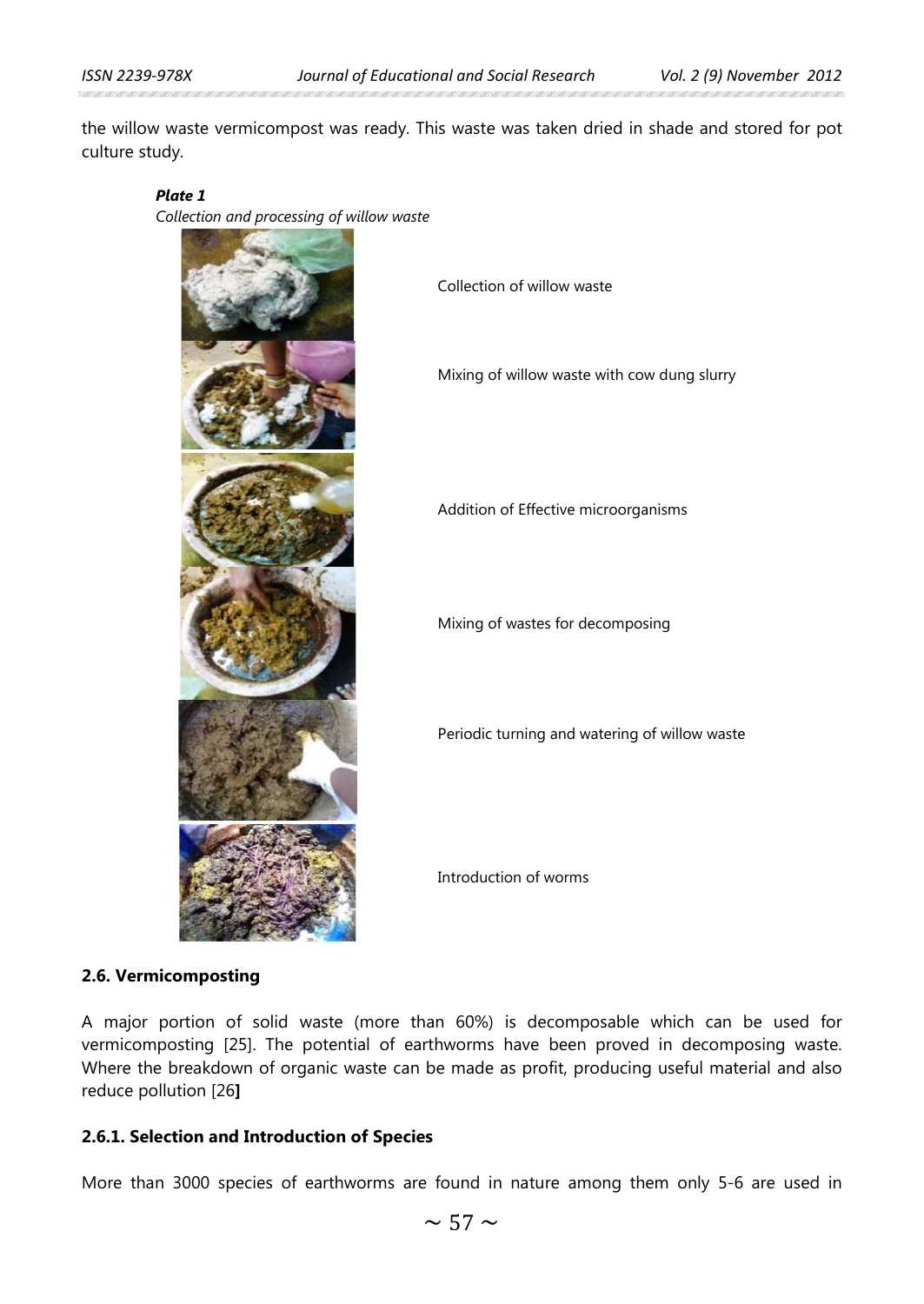the willow waste vermicompost was ready. This waste was taken dried in shade and stored for pot culture study.

#### *Plate 1*

*Collection and processing of willow waste*



Collection of willow waste

Mixing of willow waste with cow dung slurry

Addition of Effective microorganisms

Mixing of wastes for decomposing

Periodic turning and watering of willow waste

Introduction of worms

### **2.6. Vermicomposting**

A major portion of solid waste (more than 60%) is decomposable which can be used for vermicomposting [25]. The potential of earthworms have been proved in decomposing waste. Where the breakdown of organic waste can be made as profit, producing useful material and also reduce pollution [26**]**

# **2.6.1. Selection and Introduction of Species**

More than 3000 species of earthworms are found in nature among them only 5-6 are used in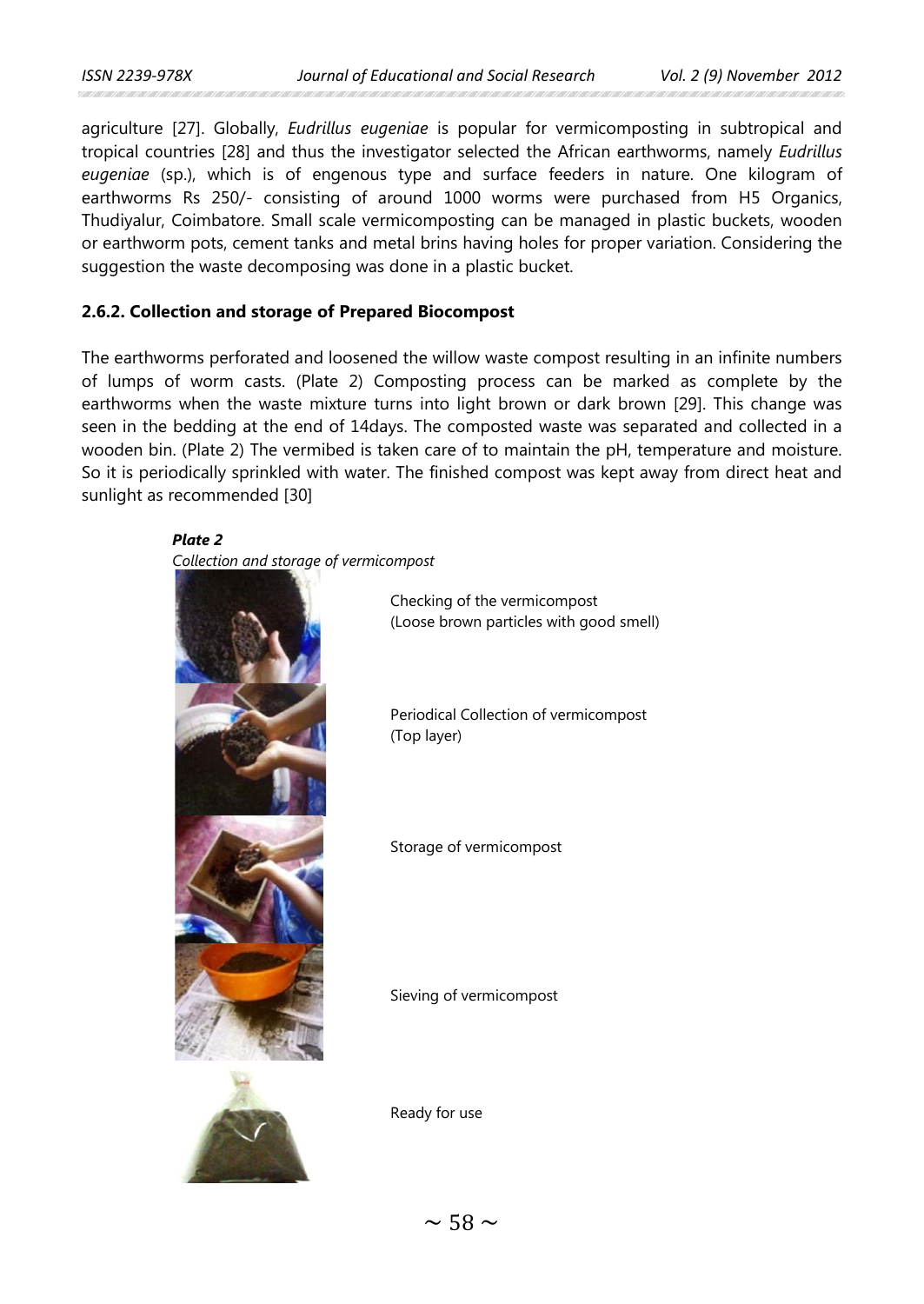agriculture [27]. Globally, *Eudrillus eugeniae* is popular for vermicomposting in subtropical and tropical countries [28] and thus the investigator selected the African earthworms, namely *Eudrillus eugeniae* (sp.), which is of engenous type and surface feeders in nature. One kilogram of earthworms Rs 250/- consisting of around 1000 worms were purchased from H5 Organics, Thudiyalur, Coimbatore. Small scale vermicomposting can be managed in plastic buckets, wooden or earthworm pots, cement tanks and metal brins having holes for proper variation. Considering the suggestion the waste decomposing was done in a plastic bucket.

# **2.6.2. Collection and storage of Prepared Biocompost**

The earthworms perforated and loosened the willow waste compost resulting in an infinite numbers of lumps of worm casts. (Plate 2) Composting process can be marked as complete by the earthworms when the waste mixture turns into light brown or dark brown [29]. This change was seen in the bedding at the end of 14days. The composted waste was separated and collected in a wooden bin. (Plate 2) The vermibed is taken care of to maintain the pH, temperature and moisture. So it is periodically sprinkled with water. The finished compost was kept away from direct heat and sunlight as recommended [30]

*Plate 2 Collection and storage of vermicompost*



Checking of the vermicompost (Loose brown particles with good smell)

Periodical Collection of vermicompost (Top layer)

Storage of vermicompost

Sieving of vermicompost



Ready for use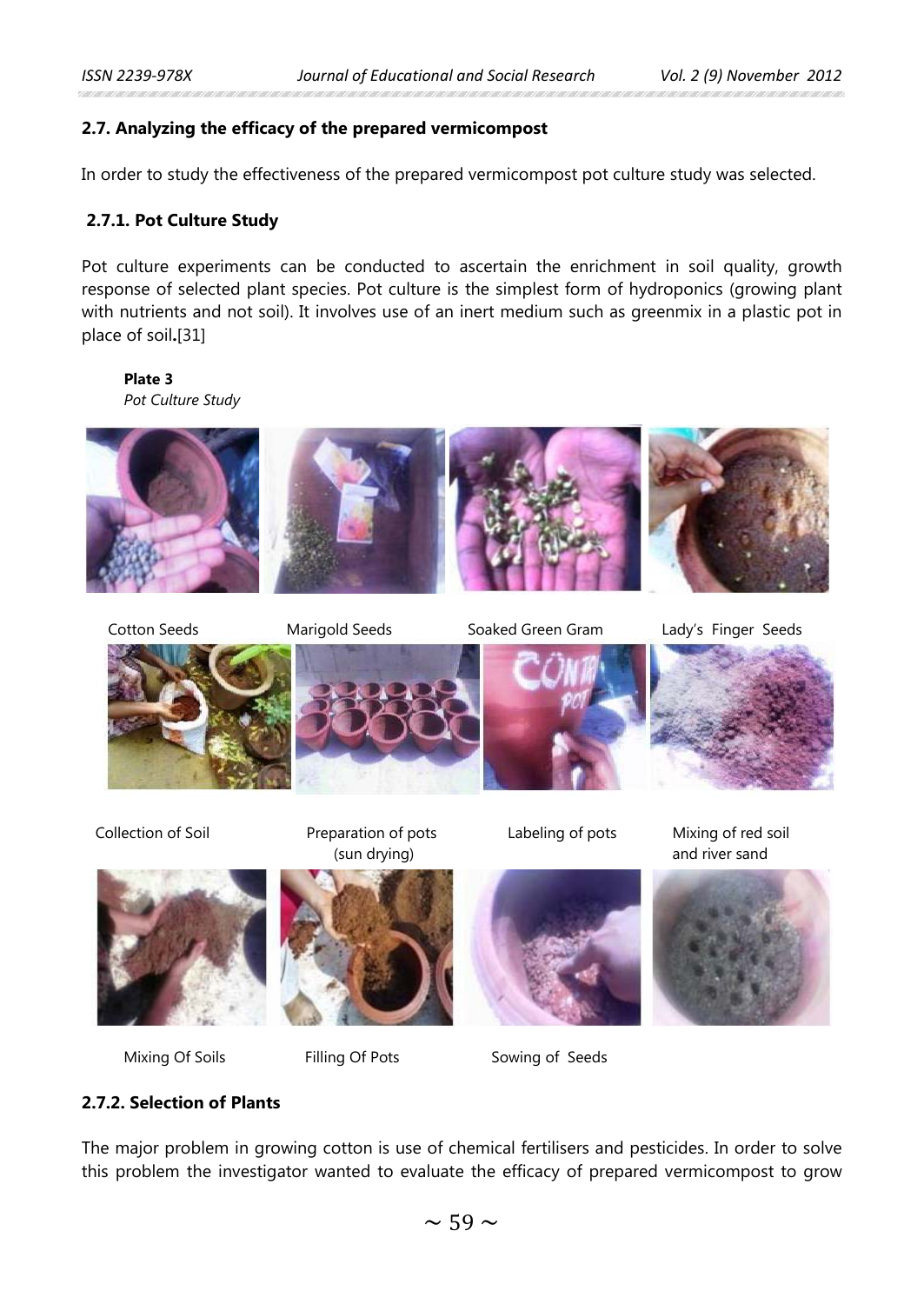# **2.7. Analyzing the efficacy of the prepared vermicompost**

In order to study the effectiveness of the prepared vermicompost pot culture study was selected.

# **2.7.1. Pot Culture Study**

Pot culture experiments can be conducted to ascertain the enrichment in soil quality, growth response of selected plant species. Pot culture is the simplest form of hydroponics (growing plant with nutrients and not soil). It involves use of an inert medium such as greenmix in a plastic pot in place of soil**.**[31]

#### **Plate 3** *Pot Culture Study*



Cotton Seeds Marigold Seeds Soaked Green Gram Lady's Finger Seeds





Mixing Of Soils Filling Of Pots Sowing of Seeds









Labeling of pots Mixing of red soil and river sand



**2.7.2. Selection of Plants**

The major problem in growing cotton is use of chemical fertilisers and pesticides. In order to solve this problem the investigator wanted to evaluate the efficacy of prepared vermicompost to grow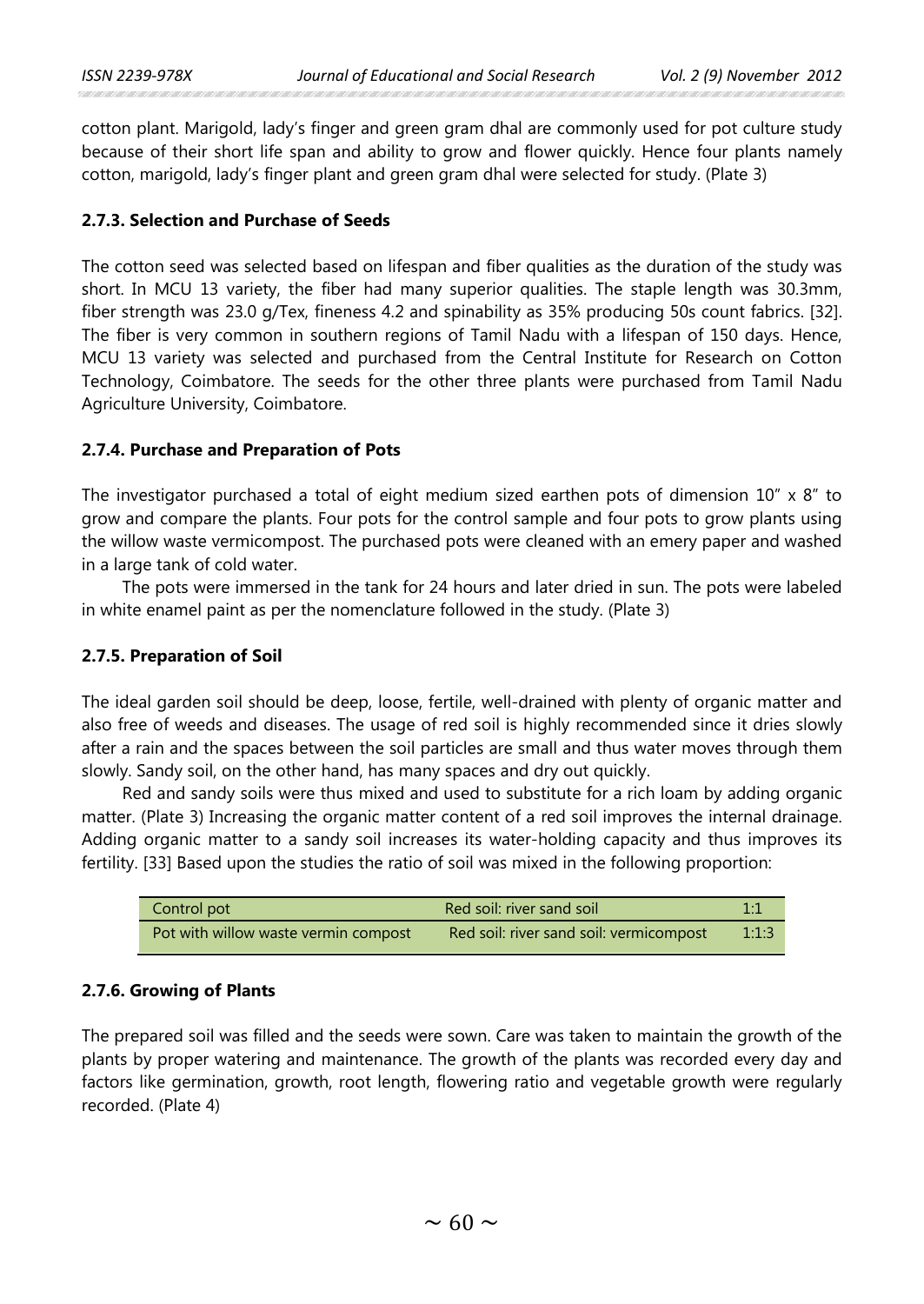cotton plant. Marigold, lady's finger and green gram dhal are commonly used for pot culture study because of their short life span and ability to grow and flower quickly. Hence four plants namely cotton, marigold, lady's finger plant and green gram dhal were selected for study. (Plate 3)

# **2.7.3. Selection and Purchase of Seeds**

The cotton seed was selected based on lifespan and fiber qualities as the duration of the study was short. In MCU 13 variety, the fiber had many superior qualities. The staple length was 30.3mm, fiber strength was 23.0 g/Tex, fineness 4.2 and spinability as 35% producing 50s count fabrics. [32]. The fiber is very common in southern regions of Tamil Nadu with a lifespan of 150 days. Hence, MCU 13 variety was selected and purchased from the Central Institute for Research on Cotton Technology, Coimbatore. The seeds for the other three plants were purchased from Tamil Nadu Agriculture University, Coimbatore.

# **2.7.4. Purchase and Preparation of Pots**

The investigator purchased a total of eight medium sized earthen pots of dimension  $10'' \times 8''$  to grow and compare the plants. Four pots for the control sample and four pots to grow plants using the willow waste vermicompost. The purchased pots were cleaned with an emery paper and washed in a large tank of cold water.

The pots were immersed in the tank for 24 hours and later dried in sun. The pots were labeled in white enamel paint as per the nomenclature followed in the study. (Plate 3)

# **2.7.5. Preparation of Soil**

The ideal garden soil should be deep, loose, fertile, well-drained with plenty of organic matter and also free of weeds and diseases. The usage of red soil is highly recommended since it dries slowly after a rain and the spaces between the soil particles are small and thus water moves through them slowly. Sandy soil, on the other hand, has many spaces and dry out quickly.

Red and sandy soils were thus mixed and used to substitute for a rich loam by adding organic matter. (Plate 3) Increasing the organic matter content of a red soil improves the internal drainage. Adding organic matter to a sandy soil increases its water-holding capacity and thus improves its fertility. [33] Based upon the studies the ratio of soil was mixed in the following proportion:

| Control pot                          | Red soil: river sand soil               | $1.1\,$ |
|--------------------------------------|-----------------------------------------|---------|
| Pot with willow waste vermin compost | Red soil: river sand soil: vermicompost | 1:1:3   |

# **2.7.6. Growing of Plants**

The prepared soil was filled and the seeds were sown. Care was taken to maintain the growth of the plants by proper watering and maintenance. The growth of the plants was recorded every day and factors like germination, growth, root length, flowering ratio and vegetable growth were regularly recorded. (Plate 4)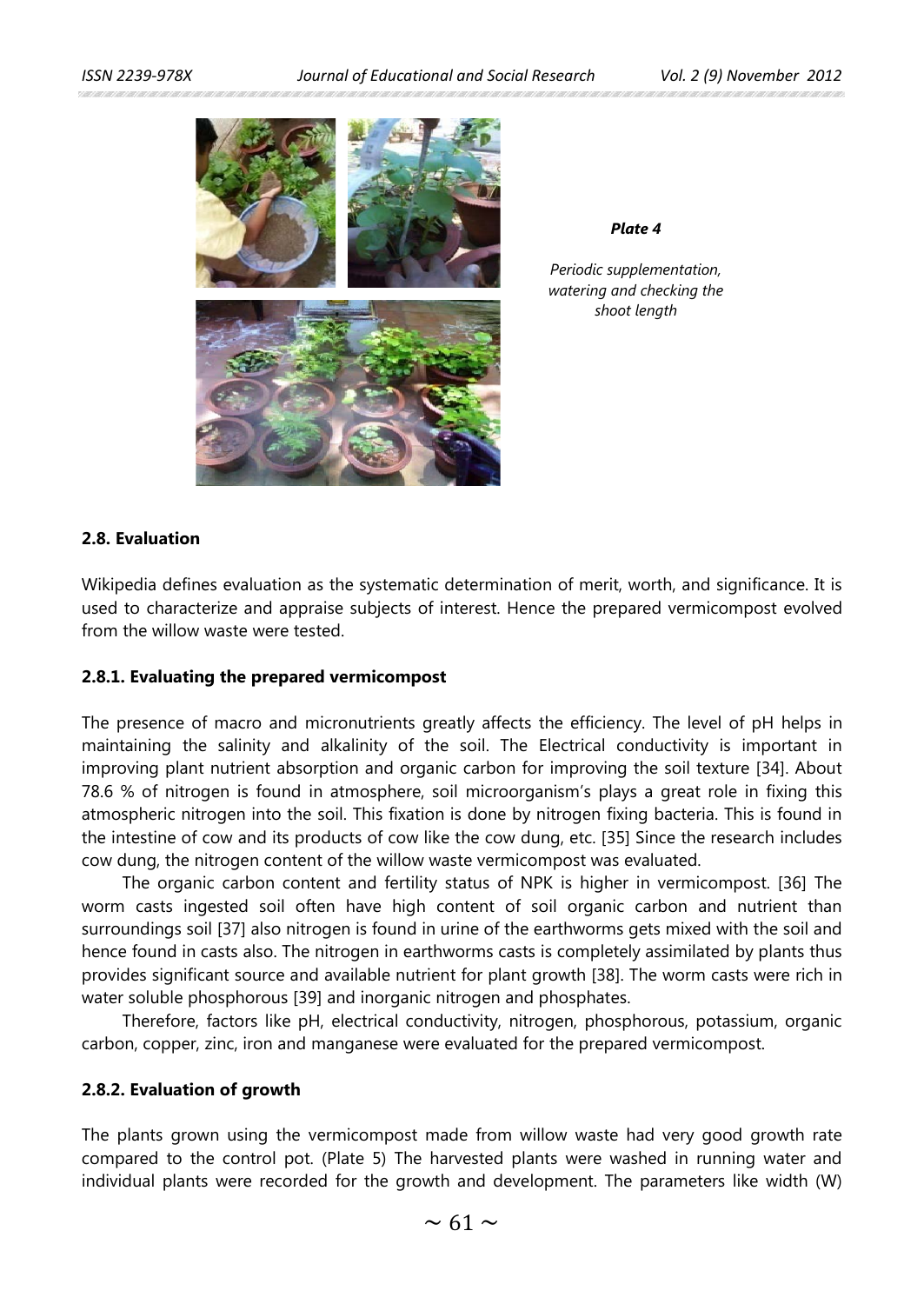

*Plate 4*

*Periodic supplementation, watering and checking the shoot length*

# **2.8. Evaluation**

Wikipedia defines evaluation as the systematic determination of merit, worth, and significance. It is used to characterize and appraise subjects of interest. Hence the prepared vermicompost evolved from the willow waste were tested.

#### **2.8.1. Evaluating the prepared vermicompost**

The presence of macro and micronutrients greatly affects the efficiency. The level of pH helps in maintaining the salinity and alkalinity of the soil. The Electrical conductivity is important in improving plant nutrient absorption and organic carbon for improving the soil texture [34]. About 78.6 % of nitrogen is found in atmosphere, soil microorganism's plays a great role in fixing this atmospheric nitrogen into the soil. This fixation is done by nitrogen fixing bacteria. This is found in the intestine of cow and its products of cow like the cow dung, etc. [35] Since the research includes cow dung, the nitrogen content of the willow waste vermicompost was evaluated.

The organic carbon content and fertility status of NPK is higher in vermicompost. [36] The worm casts ingested soil often have high content of soil organic carbon and nutrient than surroundings soil [37] also nitrogen is found in urine of the earthworms gets mixed with the soil and hence found in casts also. The nitrogen in earthworms casts is completely assimilated by plants thus provides significant source and available nutrient for plant growth [38]. The worm casts were rich in water soluble phosphorous [39] and inorganic nitrogen and phosphates.

Therefore, factors like pH, electrical conductivity, nitrogen, phosphorous, potassium, organic carbon, copper, zinc, iron and manganese were evaluated for the prepared vermicompost.

#### **2.8.2. Evaluation of growth**

The plants grown using the vermicompost made from willow waste had very good growth rate compared to the control pot. (Plate 5) The harvested plants were washed in running water and individual plants were recorded for the growth and development. The parameters like width (W)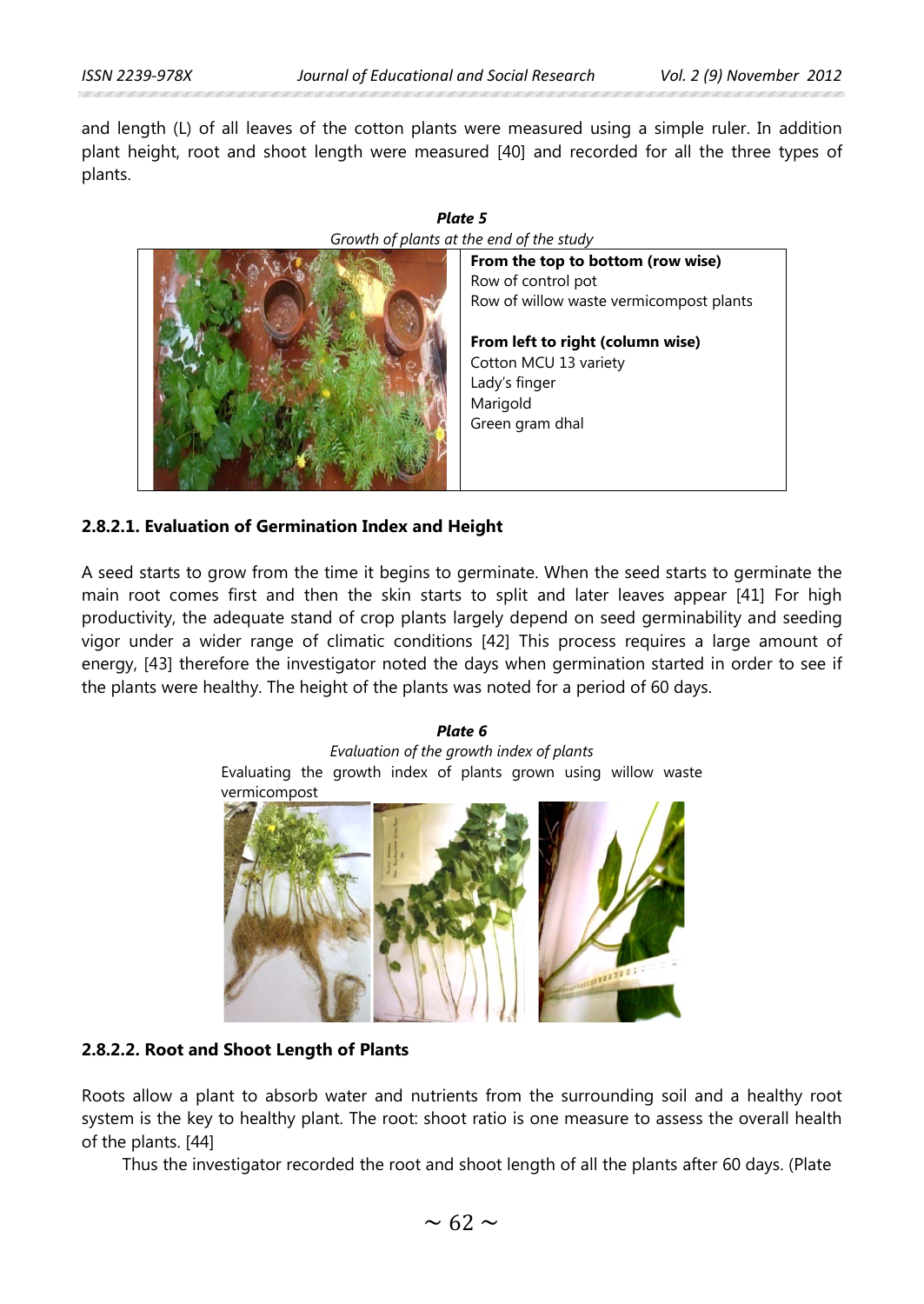and length (L) of all leaves of the cotton plants were measured using a simple ruler. In addition plant height, root and shoot length were measured [40] and recorded for all the three types of plants.



#### *Plate 5 Growth of plants at the end of the study*

# **2.8.2.1. Evaluation of Germination Index and Height**

A seed starts to grow from the time it begins to germinate. When the seed starts to germinate the main root comes first and then the skin starts to split and later leaves appear [41] For high productivity, the adequate stand of crop plants largely depend on seed germinability and seeding vigor under a wider range of climatic conditions [42] This process requires a large amount of energy, [43] therefore the investigator noted the days when germination started in order to see if the plants were healthy. The height of the plants was noted for a period of 60 days.

#### *Plate 6*

*Evaluation of the growth index of plants* Evaluating the growth index of plants grown using willow waste vermicompost



# **2.8.2.2. Root and Shoot Length of Plants**

Roots allow a plant to absorb water and nutrients from the surrounding soil and a healthy root system is the key to healthy plant. The root: shoot ratio is one measure to assess the overall health of the plants. [44]

Thus the investigator recorded the root and shoot length of all the plants after 60 days. (Plate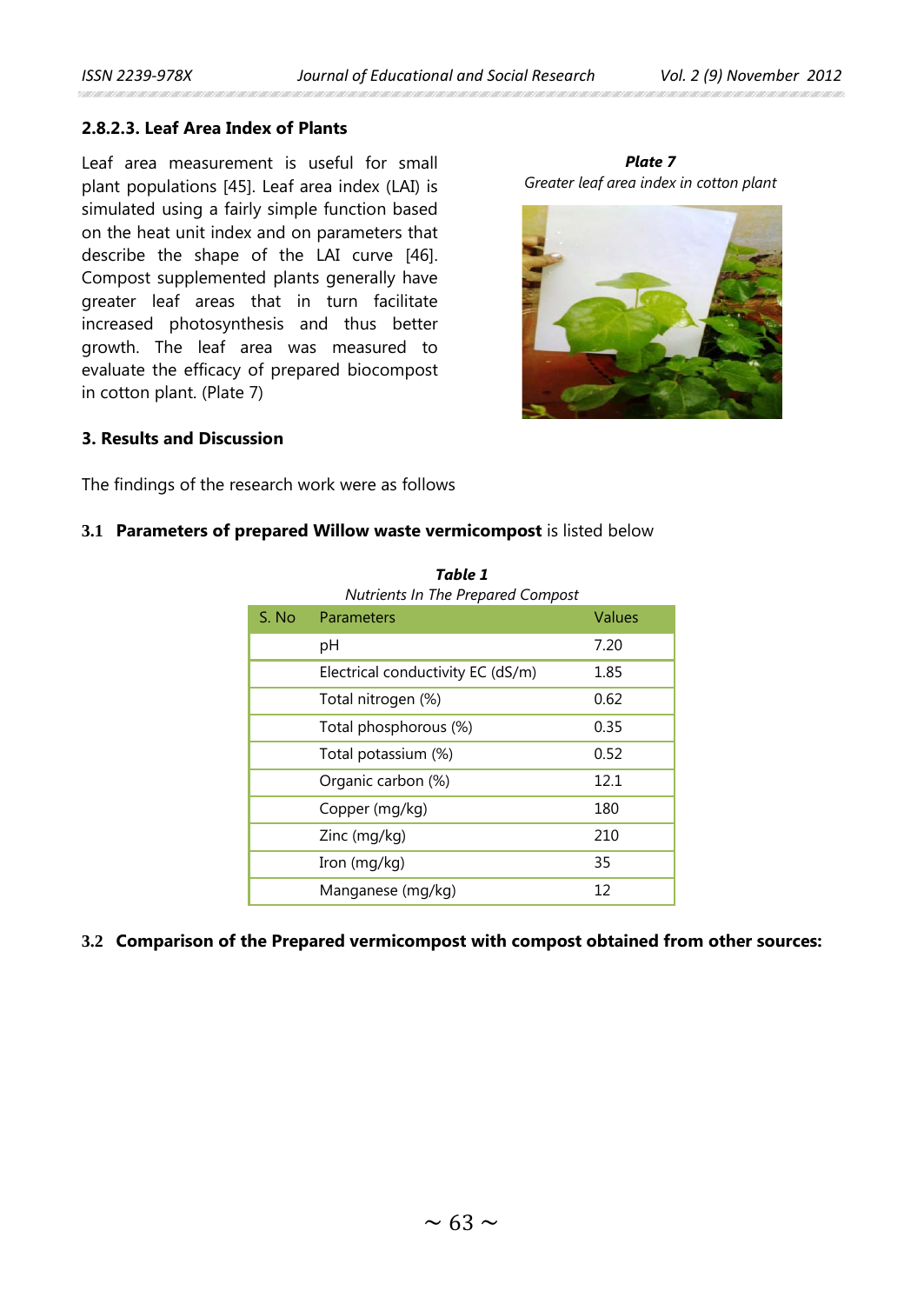an an nan an nan nan nan an nan an nan an

# **2.8.2.3. Leaf Area Index of Plants**

Leaf area measurement is useful for small plant populations [45]. Leaf area index (LAI) is simulated using a fairly simple function based on the heat unit index and on parameters that describe the shape of the LAI curve [46]. Compost supplemented plants generally have greater leaf areas that in turn facilitate increased photosynthesis and thus better growth. The leaf area was measured to evaluate the efficacy of prepared biocompost in cotton plant. (Plate 7)





# **3. Results and Discussion**

The findings of the research work were as follows

### **3.1 Parameters of prepared Willow waste vermicompost** is listed below

|        | <b>Nutrients In The Prepared Compost</b> |        |
|--------|------------------------------------------|--------|
| S. No. | <b>Parameters</b>                        | Values |
|        | рH                                       | 7.20   |
|        | Electrical conductivity EC (dS/m)        | 1.85   |
|        | Total nitrogen (%)                       | 0.62   |
|        | Total phosphorous (%)                    | 0.35   |
|        | Total potassium (%)                      | 0.52   |
|        | Organic carbon (%)                       | 12.1   |
|        | Copper (mg/kg)                           | 180    |
|        | Zinc (mg/kg)                             | 210    |
|        | Iron (mg/kg)                             | 35     |
|        | Manganese (mg/kg)                        | 12     |

| Table 1 |                                          |  |
|---------|------------------------------------------|--|
|         | <b>Nutrients In The Prepared Compost</b> |  |
|         |                                          |  |

# **3.2 Comparison of the Prepared vermicompost with compost obtained from other sources:**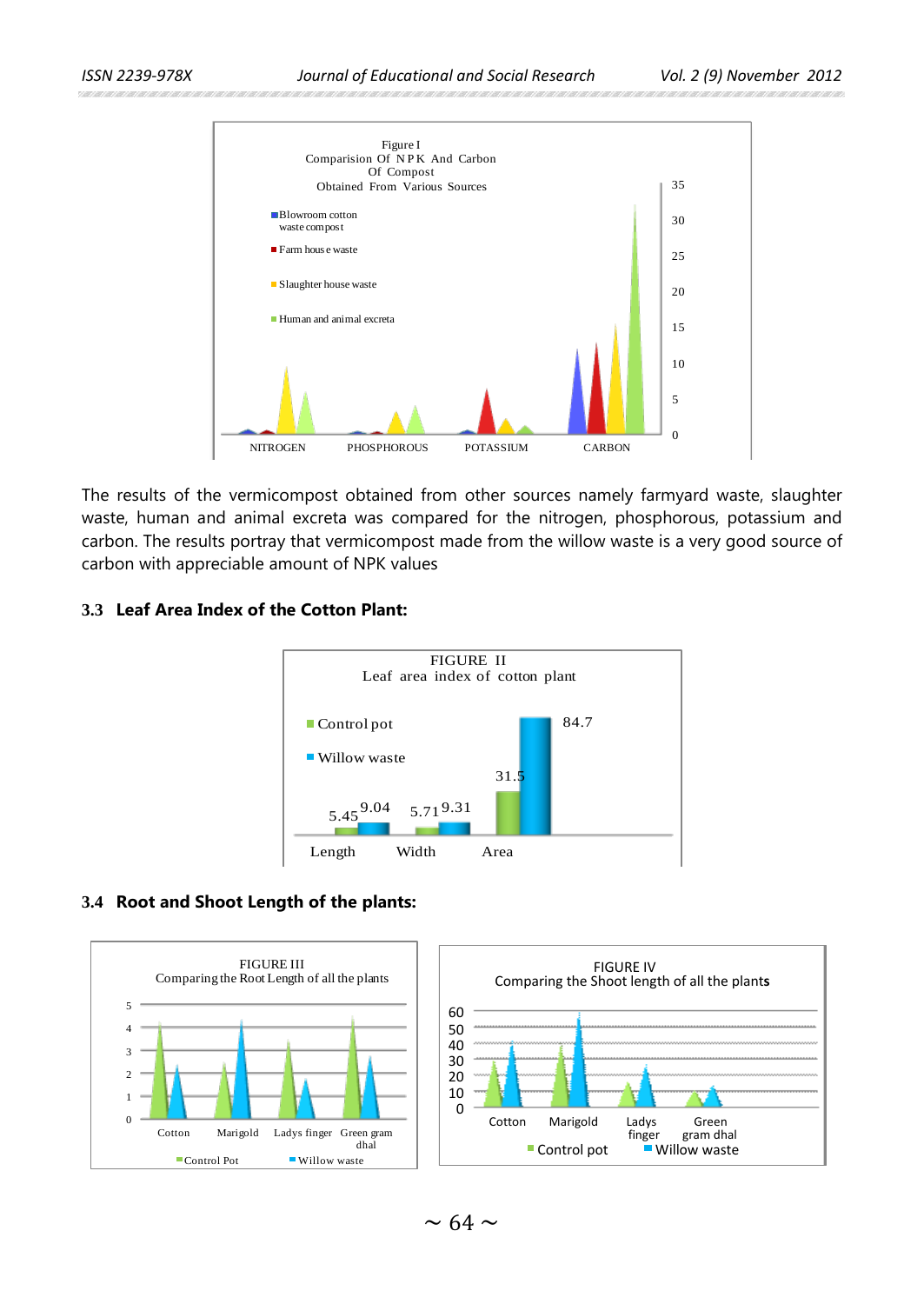

The results of the vermicompost obtained from other sources namely farmyard waste, slaughter waste, human and animal excreta was compared for the nitrogen, phosphorous, potassium and carbon. The results portray that vermicompost made from the willow waste is a very good source of carbon with appreciable amount of NPK values

## **3.3 Leaf Area Index of the Cotton Plant:**



#### **3.4 Root and Shoot Length of the plants:**



 $\sim$  64  $\sim$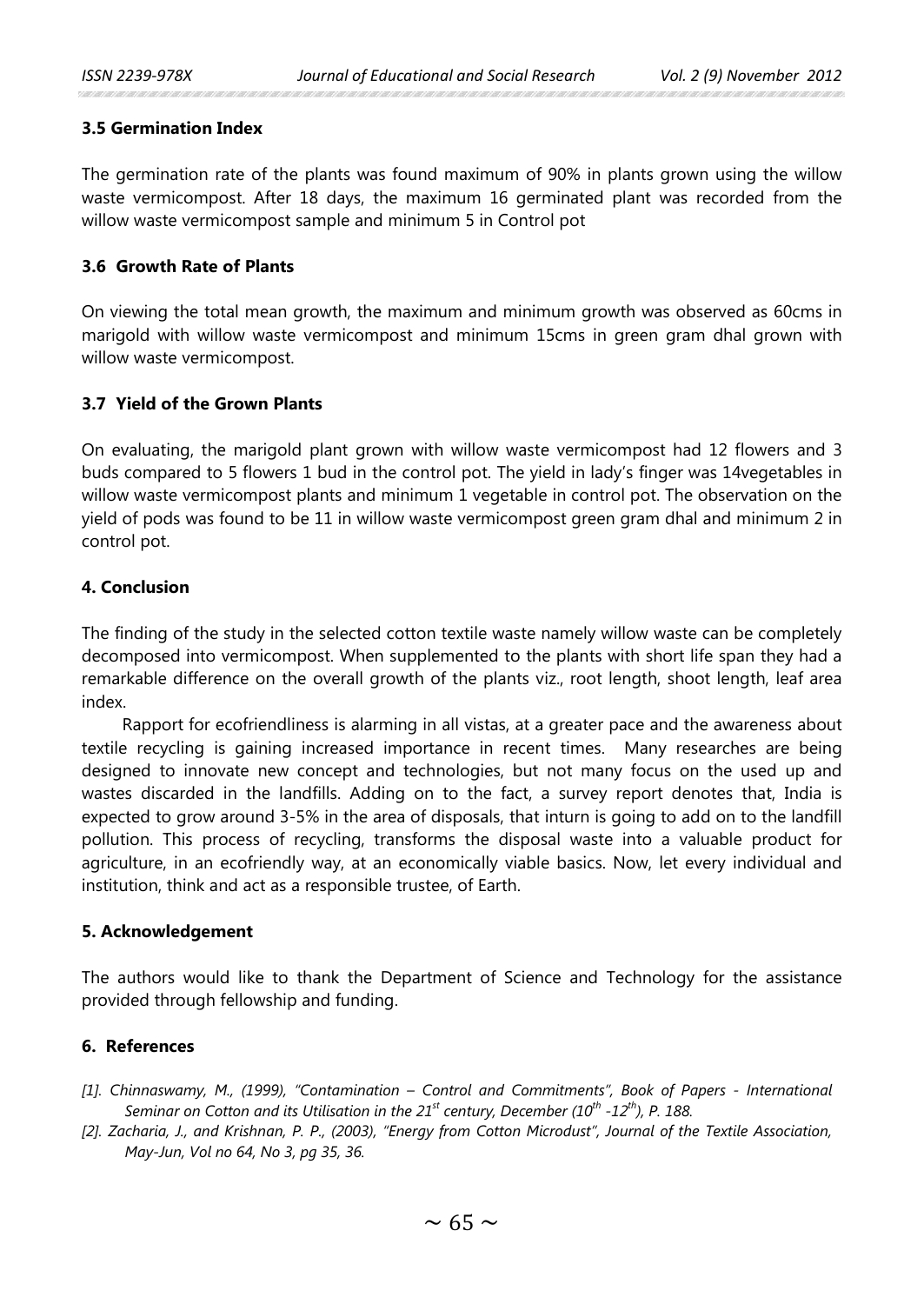### **3.5 Germination Index**

The germination rate of the plants was found maximum of 90% in plants grown using the willow waste vermicompost. After 18 days, the maximum 16 germinated plant was recorded from the willow waste vermicompost sample and minimum 5 in Control pot

# **3.6 Growth Rate of Plants**

On viewing the total mean growth, the maximum and minimum growth was observed as 60cms in marigold with willow waste vermicompost and minimum 15cms in green gram dhal grown with willow waste vermicompost.

# **3.7 Yield of the Grown Plants**

On evaluating, the marigold plant grown with willow waste vermicompost had 12 flowers and 3 buds compared to 5 flowers 1 bud in the control pot. The yield in lady's finger was 14vegetables in willow waste vermicompost plants and minimum 1 vegetable in control pot. The observation on the yield of pods was found to be 11 in willow waste vermicompost green gram dhal and minimum 2 in control pot.

# **4. Conclusion**

The finding of the study in the selected cotton textile waste namely willow waste can be completely decomposed into vermicompost. When supplemented to the plants with short life span they had a remarkable difference on the overall growth of the plants viz., root length, shoot length, leaf area index.

Rapport for ecofriendliness is alarming in all vistas, at a greater pace and the awareness about textile recycling is gaining increased importance in recent times. Many researches are being designed to innovate new concept and technologies, but not many focus on the used up and wastes discarded in the landfills. Adding on to the fact, a survey report denotes that, India is expected to grow around 3-5% in the area of disposals, that inturn is going to add on to the landfill pollution. This process of recycling, transforms the disposal waste into a valuable product for agriculture, in an ecofriendly way, at an economically viable basics. Now, let every individual and institution, think and act as a responsible trustee, of Earth.

# **5. Acknowledgement**

The authors would like to thank the Department of Science and Technology for the assistance provided through fellowship and funding.

# **6. References**

- *[1]. Chinnaswamy, M., (1999), "Contamination – Control and Commitments", Book of Papers - International Seminar on Cotton and its Utilisation in the 21<sup>st</sup> century, December (10<sup>th</sup> -12<sup>th</sup>), P. 188.*
- *[2]. Zacharia, J., and Krishnan, P. P., (2003), "Energy from Cotton Microdust", Journal of the Textile Association, May-Jun, Vol no 64, No 3, pg 35, 36.*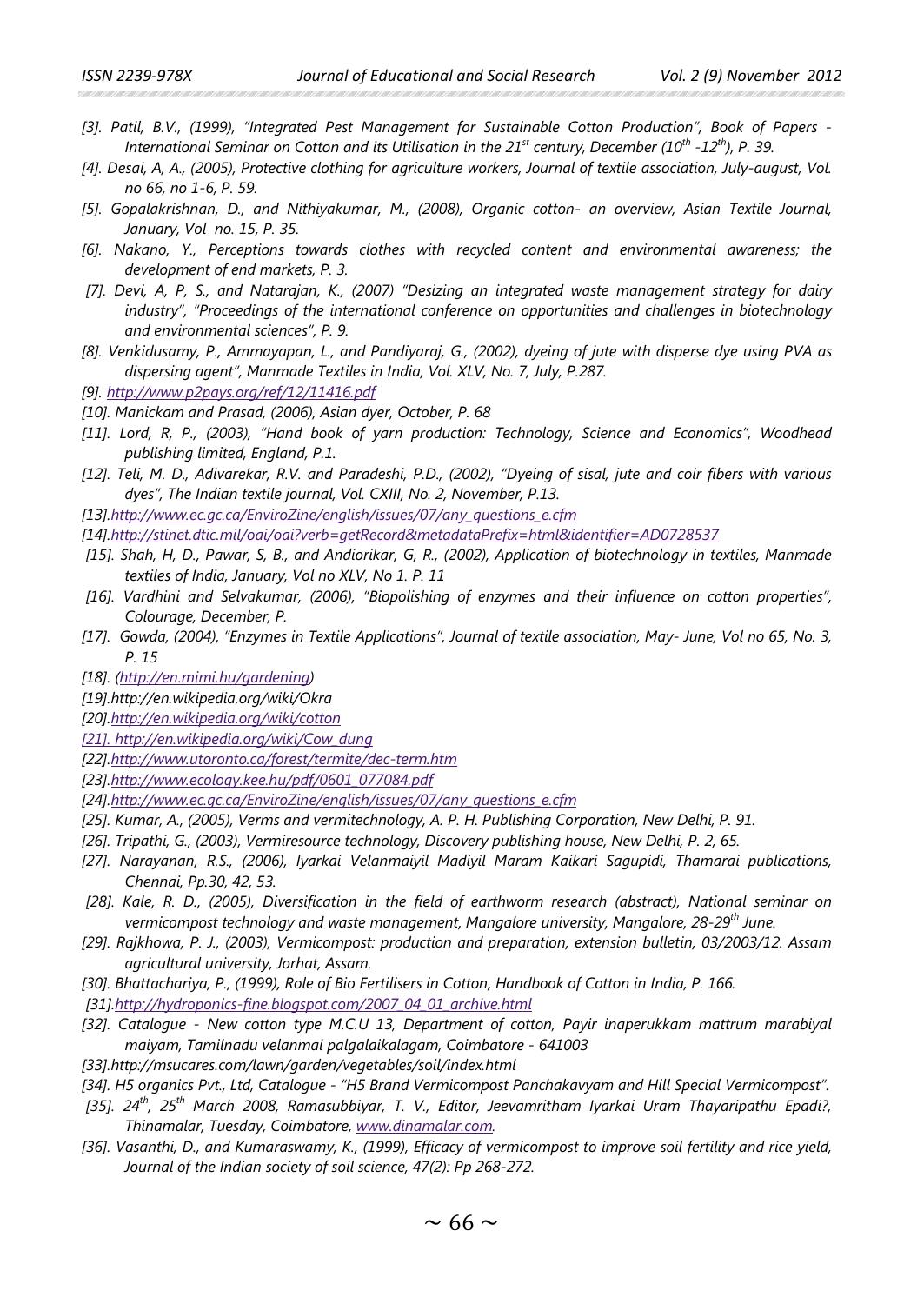- *[3]. Patil, B.V., (1999), "Integrated Pest Management for Sustainable Cotton Production", Book of Papers - International Seminar on Cotton and its Utilisation in the 21st century, December (10th -12th), P. 39.*
- *[4]. Desai, A, A., (2005), Protective clothing for agriculture workers, Journal of textile association, July-august, Vol. no 66, no 1-6, P. 59.*
- *[5]. Gopalakrishnan, D., and Nithiyakumar, M., (2008), Organic cotton- an overview, Asian Textile Journal, January, Vol no. 15, P. 35.*
- *[6]. Nakano, Y., Perceptions towards clothes with recycled content and environmental awareness; the development of end markets, P. 3.*
- *[7]. Devi, A, P, S., and Natarajan, K., (2007) "Desizing an integrated waste management strategy for dairy industry", "Proceedings of the international conference on opportunities and challenges in biotechnology and environmental sciences", P. 9.*
- *[8]. Venkidusamy, P., Ammayapan, L., and Pandiyaraj, G., (2002), dyeing of jute with disperse dye using PVA as dispersing agent", Manmade Textiles in India, Vol. XLV, No. 7, July, P.287.*
- *[9][. http://www.p2pays.org/ref/12/11416.pdf](http://www.p2pays.org/ref/12/11416.pdf)*
- *[10]. Manickam and Prasad, (2006), Asian dyer, October, P. 68*
- *[11]. Lord, R, P., (2003), "Hand book of yarn production: Technology, Science and Economics", Woodhead publishing limited, England, P.1.*
- *[12]. Teli, M. D., Adivarekar, R.V. and Paradeshi, P.D., (2002), "Dyeing of sisal, jute and coir fibers with various dyes", The Indian textile journal, Vol. CXIII, No. 2, November, P.13.*
- *[13[\].http://www.ec.gc.ca/EnviroZine/english/issues/07/any\\_questions\\_e.cfm](http://www.ec.gc.ca/EnviroZine/english/issues/07/any_questions_e.cfm)*
- *[14[\].http://stinet.dtic.mil/oai/oai?verb=getRecord&metadataPrefix=html&identifier=AD0728537](http://stinet.dtic.mil/oai/oai?verb=getRecord&metadataPrefix=html&identifier=AD0728537)*
- *[15]. Shah, H, D., Pawar, S, B., and Andiorikar, G, R., (2002), Application of biotechnology in textiles, Manmade textiles of India, January, Vol no XLV, No 1. P. 11*
- *[16]. Vardhini and Selvakumar, (2006), "Biopolishing of enzymes and their influence on cotton properties", Colourage, December, P.*
- *[17]. Gowda, (2004), "Enzymes in Textile Applications", Journal of textile association, May- June, Vol no 65, No. 3, P. 15*
- *[18]. [\(http://en.mimi.hu/gardening\)](http://en.mimi.hu/gardening)*
- *[19].http://en.wikipedia.org/wiki/Okra*
- *[20[\].http://en.wikipedia.org/wiki/cotton](http://en.wikipedia.org/wiki/cotton)*
- *[\[21\]. http://en.wikipedia.org/wiki/Cow\\_dung](http://en.wikipedia.org/wiki/Cow_dung)*
- *[22[\].http://www.utoronto.ca/forest/termite/dec-term.htm](http://www.utoronto.ca/forest/termite/dec-term.htm)*
- *[23[\].http://www.ecology.kee.hu/pdf/0601\\_077084.pdf](http://www.ecology.kee.hu/pdf/0601_077084.pdf)*
- *[24[\].http://www.ec.gc.ca/EnviroZine/english/issues/07/any\\_questions\\_e.cfm](http://www.ec.gc.ca/EnviroZine/english/issues/07/any_questions_e.cfm)*
- *[25]. Kumar, A., (2005), Verms and vermitechnology, A. P. H. Publishing Corporation, New Delhi, P. 91.*
- *[26]. Tripathi, G., (2003), Vermiresource technology, Discovery publishing house, New Delhi, P. 2, 65.*
- *[27]. Narayanan, R.S., (2006), Iyarkai Velanmaiyil Madiyil Maram Kaikari Sagupidi, Thamarai publications, Chennai, Pp.30, 42, 53.*
- *[28]. Kale, R. D., (2005), Diversification in the field of earthworm research (abstract), National seminar on vermicompost technology and waste management, Mangalore university, Mangalore, 28-29th June.*
- *[29]. Rajkhowa, P. J., (2003), Vermicompost: production and preparation, extension bulletin, 03/2003/12. Assam agricultural university, Jorhat, Assam.*
- *[30]. Bhattachariya, P., (1999), Role of Bio Fertilisers in Cotton, Handbook of Cotton in India, P. 166.*
- *[31[\].http://hydroponics-fine.blogspot.com/2007\\_04\\_01\\_archive.html](http://hydroponics-fine.blogspot.com/2007_04_01_archive.html)*
- *[32]. Catalogue - New cotton type M.C.U 13, Department of cotton, Payir inaperukkam mattrum marabiyal maiyam, Tamilnadu velanmai palgalaikalagam, Coimbatore - 641003*
- *[33].http://msucares.com/lawn/garden/vegetables/soil/index.html*
- *[34]. H5 organics Pvt., Ltd, Catalogue - "H5 Brand Vermicompost Panchakavyam and Hill Special Vermicompost".*
- *[35]. 24th, 25th March 2008, Ramasubbiyar, T. V., Editor, Jeevamritham Iyarkai Uram Thayaripathu Epadi?, Thinamalar, Tuesday, Coimbatore, [www.dinamalar.com.](http://www.dinamalar.com/)*
- *[36]. Vasanthi, D., and Kumaraswamy, K., (1999), Efficacy of vermicompost to improve soil fertility and rice yield, Journal of the Indian society of soil science, 47(2): Pp 268-272.*